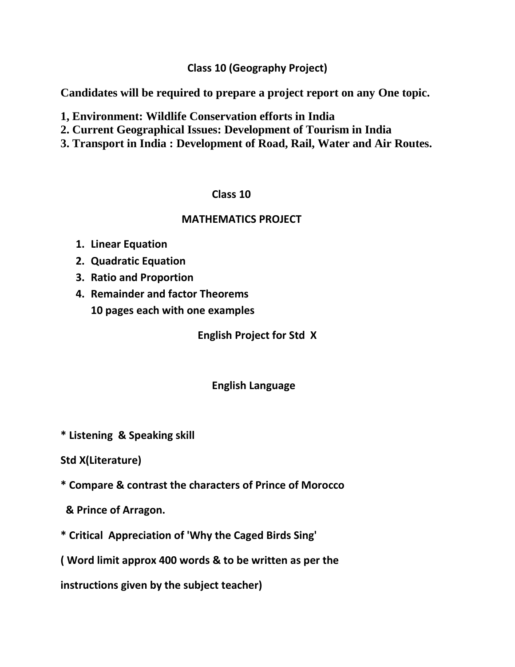**Class 10 (Geography Project)**

**Candidates will be required to prepare a project report on any One topic.** 

- **1, Environment: Wildlife Conservation efforts in India**
- **2. Current Geographical Issues: Development of Tourism in India**
- **3. Transport in India : Development of Road, Rail, Water and Air Routes.**

## **Class 10**

## **MATHEMATICS PROJECT**

- **1. Linear Equation**
- **2. Quadratic Equation**
- **3. Ratio and Proportion**
- **4. Remainder and factor Theorems 10 pages each with one examples**

**English Project for Std X**

## **English Language**

- **\* Listening & Speaking skill**
- **Std X(Literature)**
- **\* Compare & contrast the characters of Prince of Morocco**
- **& Prince of Arragon.**
- **\* Critical Appreciation of 'Why the Caged Birds Sing'**

**( Word limit approx 400 words & to be written as per the** 

**instructions given by the subject teacher)**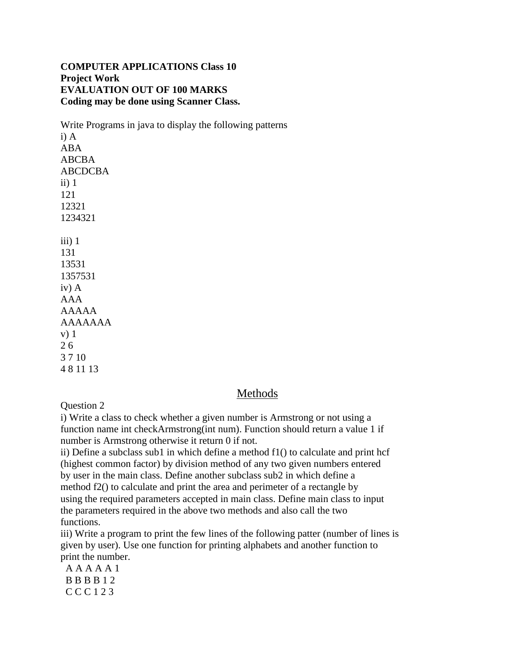#### **COMPUTER APPLICATIONS Class 10 Project Work EVALUATION OUT OF 100 MARKS Coding may be done using Scanner Class.**

Write Programs in java to display the following patterns i) A ABA ABCBA ABCDCBA ii)  $1$ 121 12321 1234321  $iii)$  1 131 13531 1357531 iv) A AAA AAAAA AAAAAAA v) 1

2 6 3 7 10 4 8 11 13

### Methods

Question 2

i) Write a class to check whether a given number is Armstrong or not using a function name int checkArmstrong(int num). Function should return a value 1 if number is Armstrong otherwise it return 0 if not.

ii) Define a subclass sub1 in which define a method f1() to calculate and print hcf (highest common factor) by division method of any two given numbers entered by user in the main class. Define another subclass sub2 in which define a method f2() to calculate and print the area and perimeter of a rectangle by using the required parameters accepted in main class. Define main class to input the parameters required in the above two methods and also call the two functions.

iii) Write a program to print the few lines of the following patter (number of lines is given by user). Use one function for printing alphabets and another function to print the number.

 A A A A A 1 B B B B 1 2 C C C 1 2 3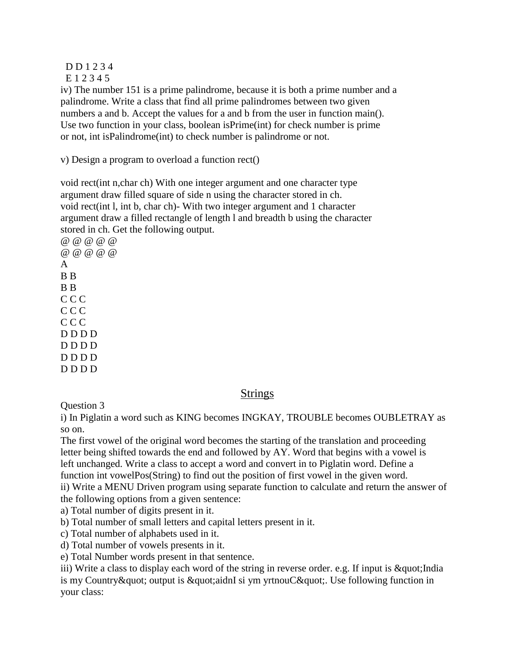#### D D 1 2 3 4

E 1 2 3 4 5

iv) The number 151 is a prime palindrome, because it is both a prime number and a palindrome. Write a class that find all prime palindromes between two given numbers a and b. Accept the values for a and b from the user in function main(). Use two function in your class, boolean isPrime(int) for check number is prime or not, int isPalindrome(int) to check number is palindrome or not.

v) Design a program to overload a function rect()

void rect(int n,char ch) With one integer argument and one character type argument draw filled square of side n using the character stored in ch. void rect(int l, int b, char ch)- With two integer argument and 1 character argument draw a filled rectangle of length l and breadth b using the character stored in ch. Get the following output.

@ @ @ @ @ @ @ @ @ @ A B B B B C C C C C C C C C D D D D D D D D D D D D D D D D

### Strings

Question 3

i) In Piglatin a word such as KING becomes INGKAY, TROUBLE becomes OUBLETRAY as so on.

The first vowel of the original word becomes the starting of the translation and proceeding letter being shifted towards the end and followed by AY. Word that begins with a vowel is left unchanged. Write a class to accept a word and convert in to Piglatin word. Define a function int vowelPos(String) to find out the position of first vowel in the given word.

ii) Write a MENU Driven program using separate function to calculate and return the answer of the following options from a given sentence:

a) Total number of digits present in it.

b) Total number of small letters and capital letters present in it.

c) Total number of alphabets used in it.

d) Total number of vowels presents in it.

e) Total Number words present in that sentence.

iii) Write a class to display each word of the string in reverse order. e.g. If input is " India is my Country & quot; output is & quot; aidnI si ym yrtnouC & quot;. Use following function in your class: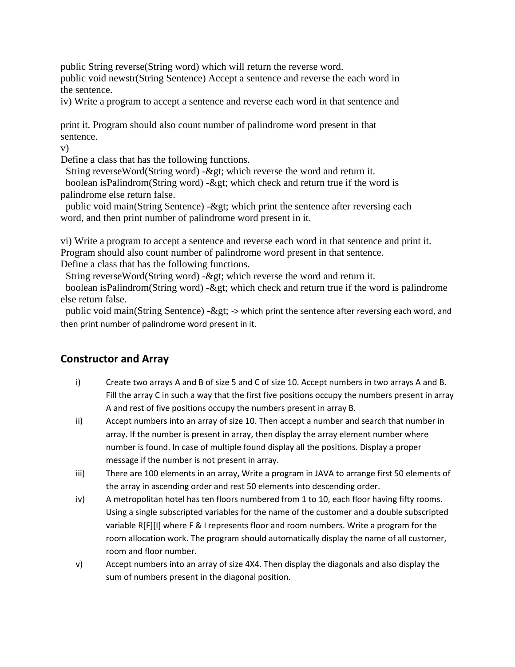public String reverse(String word) which will return the reverse word. public void newstr(String Sentence) Accept a sentence and reverse the each word in

the sentence.

iv) Write a program to accept a sentence and reverse each word in that sentence and

print it. Program should also count number of palindrome word present in that sentence.

v)

Define a class that has the following functions.

String reverseWord(String word) -> which reverse the word and return it.

boolean isPalindrom(String word) - $\&$ gt; which check and return true if the word is palindrome else return false.

public void main(String Sentence) - $\&$ gt; which print the sentence after reversing each word, and then print number of palindrome word present in it.

vi) Write a program to accept a sentence and reverse each word in that sentence and print it. Program should also count number of palindrome word present in that sentence. Define a class that has the following functions.

String reverseWord(String word) -> which reverse the word and return it.

boolean isPalindrom(String word) - $\&$ gt; which check and return true if the word is palindrome else return false.

public void main(String Sentence) -> -> which print the sentence after reversing each word, and then print number of palindrome word present in it.

## **Constructor and Array**

- i) Create two arrays A and B of size 5 and C of size 10. Accept numbers in two arrays A and B. Fill the array C in such a way that the first five positions occupy the numbers present in array A and rest of five positions occupy the numbers present in array B.
- ii) Accept numbers into an array of size 10. Then accept a number and search that number in array. If the number is present in array, then display the array element number where number is found. In case of multiple found display all the positions. Display a proper message if the number is not present in array.
- iii) There are 100 elements in an array, Write a program in JAVA to arrange first 50 elements of the array in ascending order and rest 50 elements into descending order.
- iv) A metropolitan hotel has ten floors numbered from 1 to 10, each floor having fifty rooms. Using a single subscripted variables for the name of the customer and a double subscripted variable R[F][I] where F & I represents floor and room numbers. Write a program for the room allocation work. The program should automatically display the name of all customer, room and floor number.
- v) Accept numbers into an array of size 4X4. Then display the diagonals and also display the sum of numbers present in the diagonal position.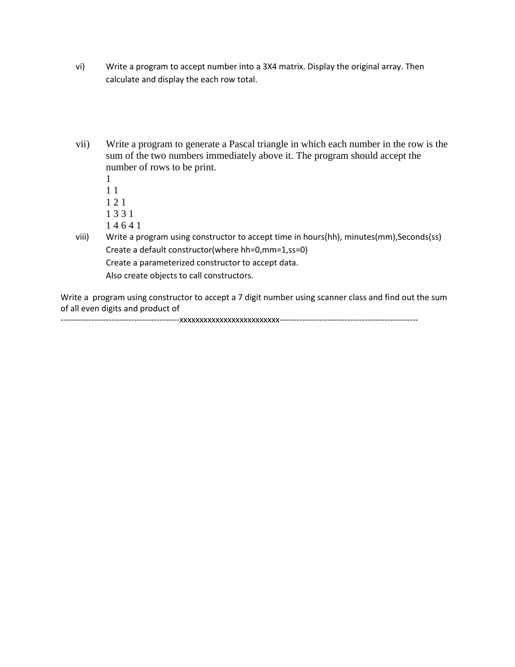- vi) Write a program to accept number into a 3X4 matrix. Display the original array. Then calculate and display the each row total.
- vii) Write a program to generate a Pascal triangle in which each number in the row is the sum of the two numbers immediately above it. The program should accept the number of rows to be print.
	- 1 1 1 1 2 1 1 3 3 1
	- 1 4 6 4 1
- viii) Write a program using constructor to accept time in hours(hh), minutes(mm),Seconds(ss) Create a default constructor(where hh=0,mm=1,ss=0) Create a parameterized constructor to accept data. Also create objects to call constructors.

Write a program using constructor to accept a 7 digit number using scanner class and find out the sum of all even digits and product of

------------------------------------------xxxxxxxxxxxxxxxxxxxxxxxxx-------------------------------------------------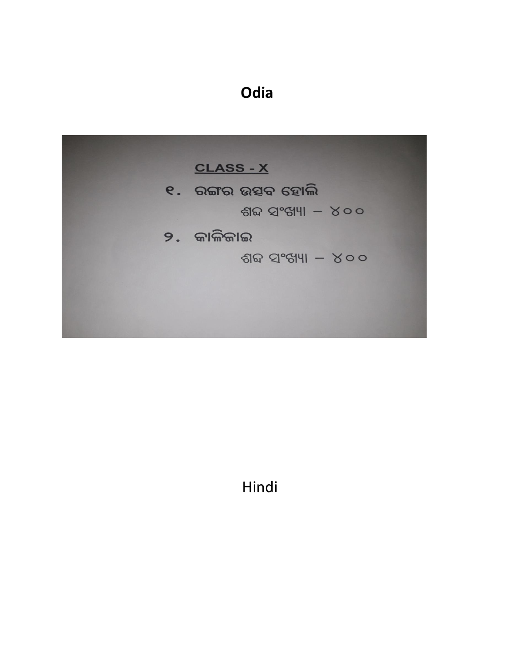# **Odia**



Hindi